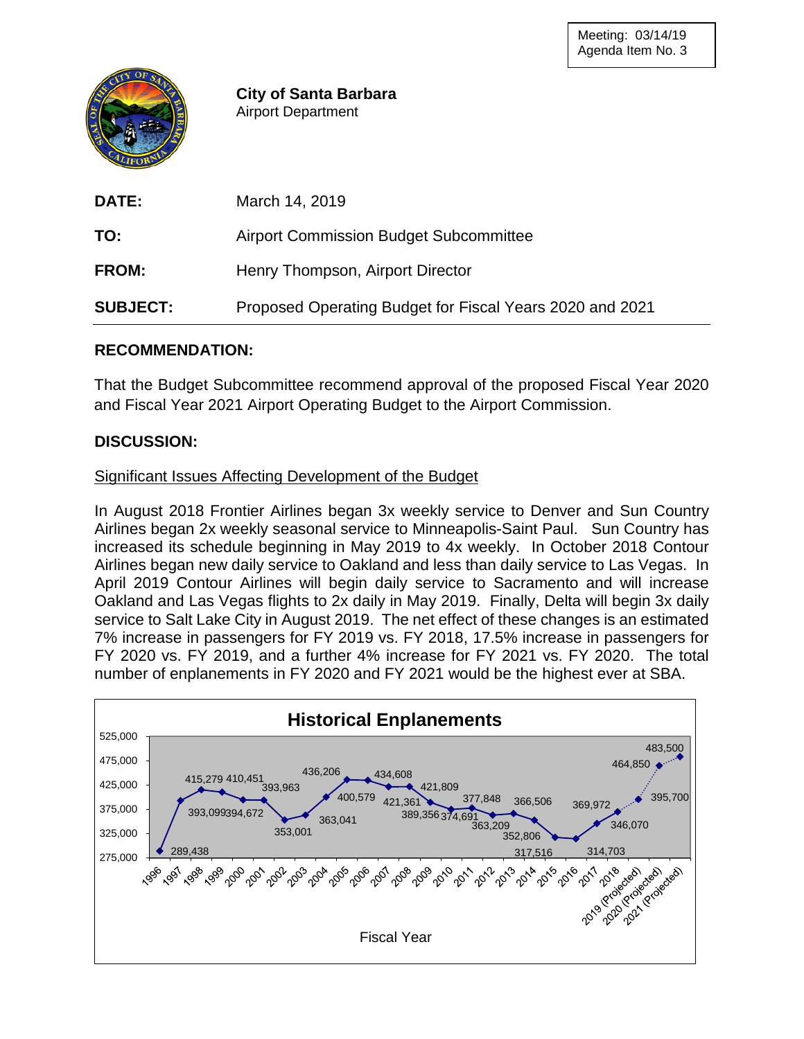

**City of Santa Barbara** Airport Department

| <b>DATE:</b>    | March 14, 2019                                           |
|-----------------|----------------------------------------------------------|
| TO:             | <b>Airport Commission Budget Subcommittee</b>            |
| <b>FROM:</b>    | Henry Thompson, Airport Director                         |
| <b>SUBJECT:</b> | Proposed Operating Budget for Fiscal Years 2020 and 2021 |

## **RECOMMENDATION:**

That the Budget Subcommittee recommend approval of the proposed Fiscal Year 2020 and Fiscal Year 2021 Airport Operating Budget to the Airport Commission.

## **DISCUSSION:**

#### Significant Issues Affecting Development of the Budget

In August 2018 Frontier Airlines began 3x weekly service to Denver and Sun Country Airlines began 2x weekly seasonal service to Minneapolis-Saint Paul. Sun Country has increased its schedule beginning in May 2019 to 4x weekly. In October 2018 Contour Airlines began new daily service to Oakland and less than daily service to Las Vegas. In April 2019 Contour Airlines will begin daily service to Sacramento and will increase Oakland and Las Vegas flights to 2x daily in May 2019. Finally, Delta will begin 3x daily service to Salt Lake City in August 2019. The net effect of these changes is an estimated 7% increase in passengers for FY 2019 vs. FY 2018, 17.5% increase in passengers for FY 2020 vs. FY 2019, and a further 4% increase for FY 2021 vs. FY 2020. The total number of enplanements in FY 2020 and FY 2021 would be the highest ever at SBA.

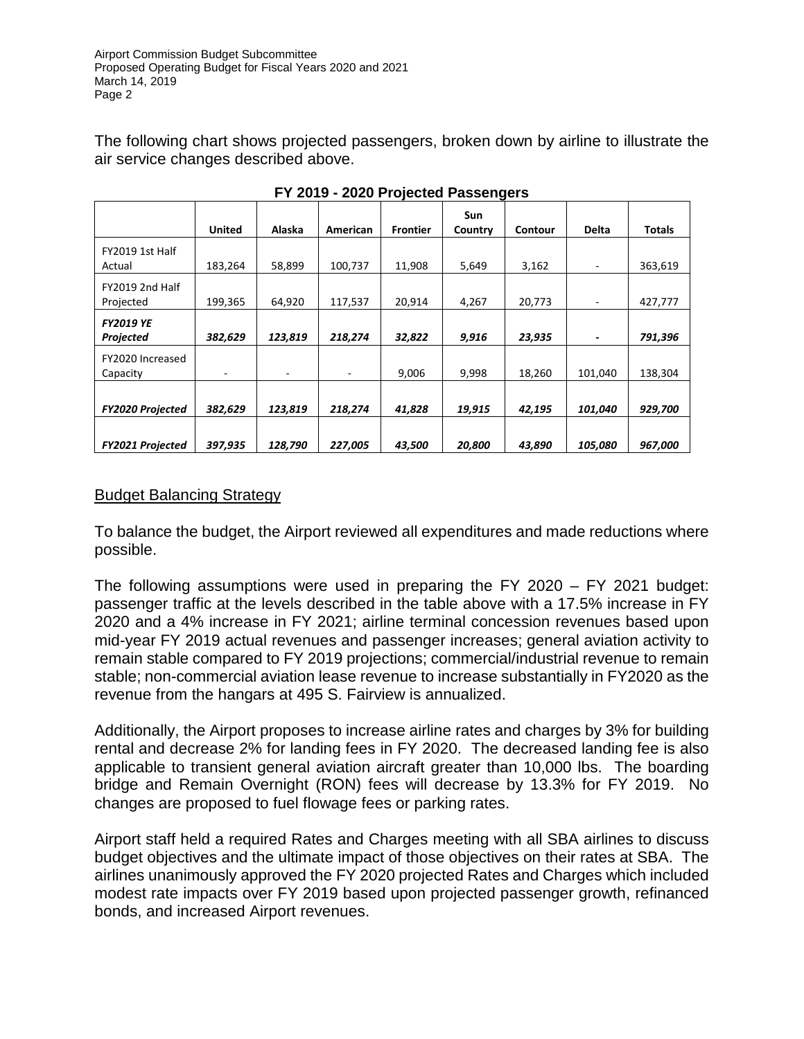The following chart shows projected passengers, broken down by airline to illustrate the air service changes described above.

|                                  | <b>United</b> | Alaska  | American | <b>Frontier</b> | Sun<br>Country | Contour | <b>Delta</b> | <b>Totals</b> |
|----------------------------------|---------------|---------|----------|-----------------|----------------|---------|--------------|---------------|
| <b>FY2019 1st Half</b><br>Actual | 183,264       | 58,899  | 100,737  | 11,908          | 5,649          | 3,162   | ۰            | 363,619       |
| FY2019 2nd Half<br>Projected     | 199,365       | 64,920  | 117,537  | 20,914          | 4,267          | 20,773  | ۰            | 427,777       |
| <b>FY2019 YE</b><br>Projected    | 382,629       | 123,819 | 218,274  | 32,822          | 9,916          | 23,935  |              | 791,396       |
| FY2020 Increased<br>Capacity     | -             | -       |          | 9,006           | 9,998          | 18,260  | 101,040      | 138,304       |
| <b>FY2020 Projected</b>          | 382,629       | 123,819 | 218,274  | 41,828          | 19,915         | 42,195  | 101,040      | 929,700       |
| FY2021 Projected                 | 397,935       | 128,790 | 227,005  | 43,500          | 20,800         | 43,890  | 105,080      | 967,000       |

**FY 2019 - 2020 Projected Passengers**

## Budget Balancing Strategy

To balance the budget, the Airport reviewed all expenditures and made reductions where possible.

The following assumptions were used in preparing the FY 2020 – FY 2021 budget: passenger traffic at the levels described in the table above with a 17.5% increase in FY 2020 and a 4% increase in FY 2021; airline terminal concession revenues based upon mid-year FY 2019 actual revenues and passenger increases; general aviation activity to remain stable compared to FY 2019 projections; commercial/industrial revenue to remain stable; non-commercial aviation lease revenue to increase substantially in FY2020 as the revenue from the hangars at 495 S. Fairview is annualized.

Additionally, the Airport proposes to increase airline rates and charges by 3% for building rental and decrease 2% for landing fees in FY 2020. The decreased landing fee is also applicable to transient general aviation aircraft greater than 10,000 lbs. The boarding bridge and Remain Overnight (RON) fees will decrease by 13.3% for FY 2019. No changes are proposed to fuel flowage fees or parking rates.

Airport staff held a required Rates and Charges meeting with all SBA airlines to discuss budget objectives and the ultimate impact of those objectives on their rates at SBA. The airlines unanimously approved the FY 2020 projected Rates and Charges which included modest rate impacts over FY 2019 based upon projected passenger growth, refinanced bonds, and increased Airport revenues.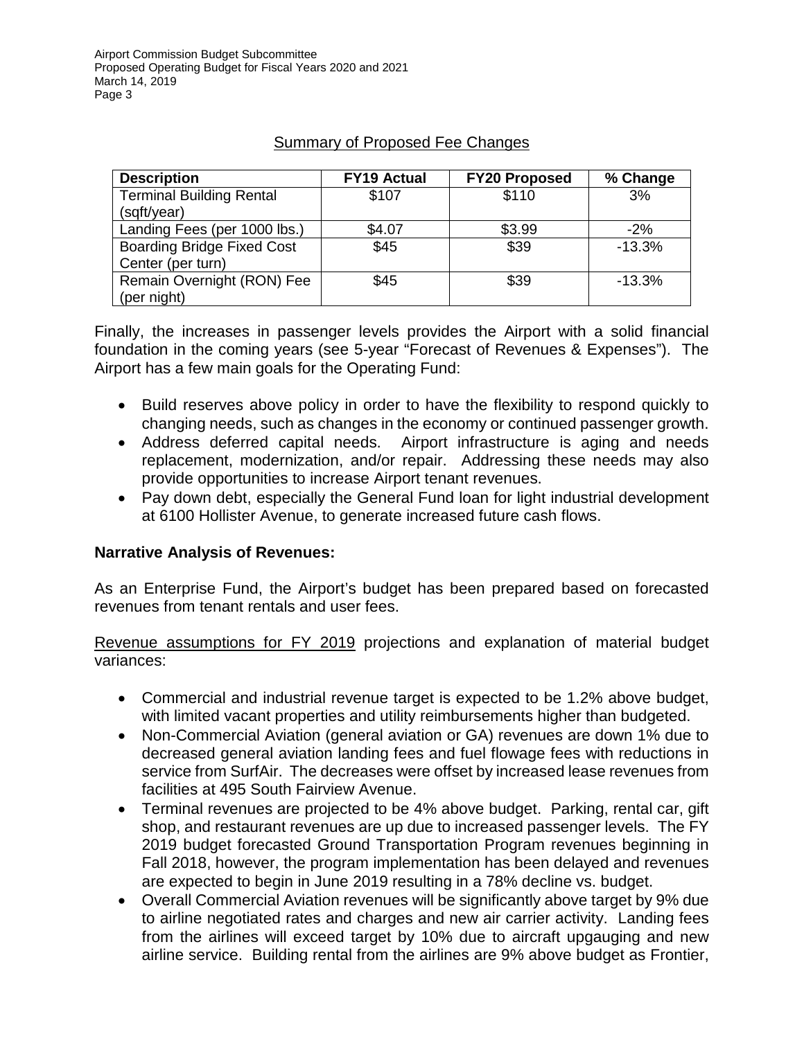| <b>Description</b>                | <b>FY19 Actual</b> | <b>FY20 Proposed</b> | % Change |
|-----------------------------------|--------------------|----------------------|----------|
| <b>Terminal Building Rental</b>   | \$107              | \$110                | 3%       |
| (sqft/year)                       |                    |                      |          |
| Landing Fees (per 1000 lbs.)      | \$4.07             | \$3.99               | $-2%$    |
| <b>Boarding Bridge Fixed Cost</b> | \$45               | \$39                 | $-13.3%$ |
| Center (per turn)                 |                    |                      |          |
| Remain Overnight (RON) Fee        | \$45               | \$39                 | $-13.3%$ |
| (per night)                       |                    |                      |          |

# Summary of Proposed Fee Changes

Finally, the increases in passenger levels provides the Airport with a solid financial foundation in the coming years (see 5-year "Forecast of Revenues & Expenses"). The Airport has a few main goals for the Operating Fund:

- Build reserves above policy in order to have the flexibility to respond quickly to changing needs, such as changes in the economy or continued passenger growth.
- Address deferred capital needs. Airport infrastructure is aging and needs replacement, modernization, and/or repair. Addressing these needs may also provide opportunities to increase Airport tenant revenues.
- Pay down debt, especially the General Fund loan for light industrial development at 6100 Hollister Avenue, to generate increased future cash flows.

## **Narrative Analysis of Revenues:**

As an Enterprise Fund, the Airport's budget has been prepared based on forecasted revenues from tenant rentals and user fees.

Revenue assumptions for FY 2019 projections and explanation of material budget variances:

- Commercial and industrial revenue target is expected to be 1.2% above budget, with limited vacant properties and utility reimbursements higher than budgeted.
- Non-Commercial Aviation (general aviation or GA) revenues are down 1% due to decreased general aviation landing fees and fuel flowage fees with reductions in service from SurfAir. The decreases were offset by increased lease revenues from facilities at 495 South Fairview Avenue.
- Terminal revenues are projected to be 4% above budget. Parking, rental car, gift shop, and restaurant revenues are up due to increased passenger levels. The FY 2019 budget forecasted Ground Transportation Program revenues beginning in Fall 2018, however, the program implementation has been delayed and revenues are expected to begin in June 2019 resulting in a 78% decline vs. budget.
- Overall Commercial Aviation revenues will be significantly above target by 9% due to airline negotiated rates and charges and new air carrier activity. Landing fees from the airlines will exceed target by 10% due to aircraft upgauging and new airline service. Building rental from the airlines are 9% above budget as Frontier,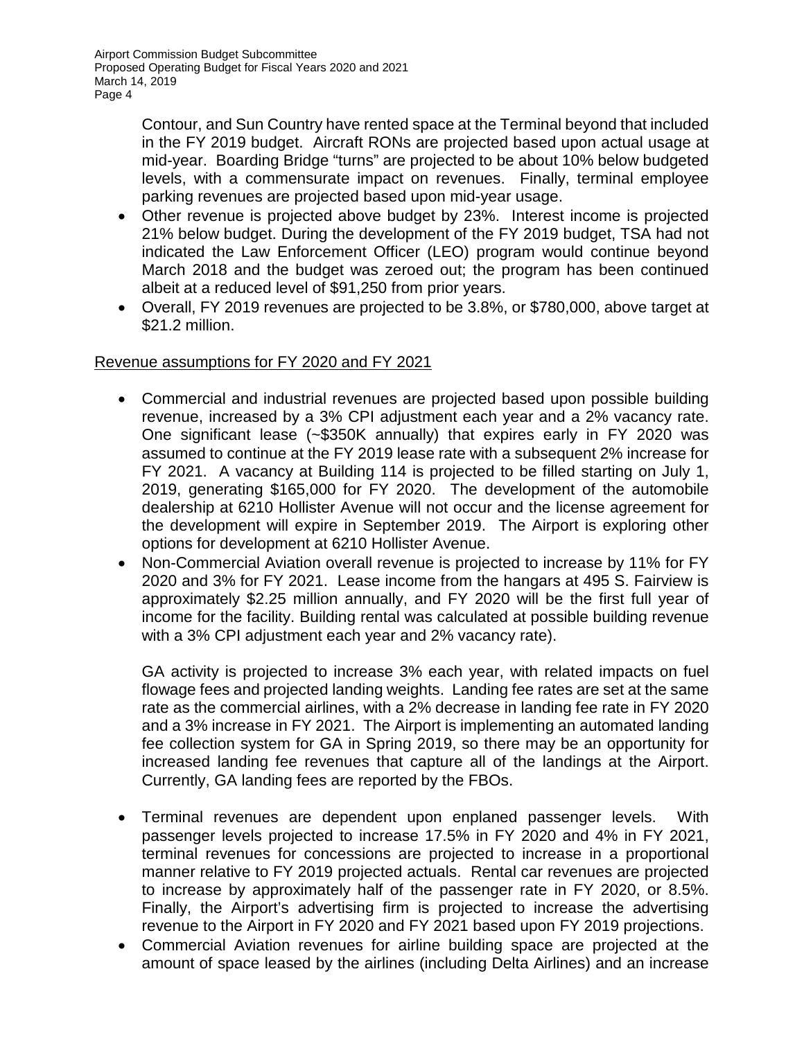> Contour, and Sun Country have rented space at the Terminal beyond that included in the FY 2019 budget. Aircraft RONs are projected based upon actual usage at mid-year. Boarding Bridge "turns" are projected to be about 10% below budgeted levels, with a commensurate impact on revenues. Finally, terminal employee parking revenues are projected based upon mid-year usage.

- Other revenue is projected above budget by 23%. Interest income is projected 21% below budget. During the development of the FY 2019 budget, TSA had not indicated the Law Enforcement Officer (LEO) program would continue beyond March 2018 and the budget was zeroed out; the program has been continued albeit at a reduced level of \$91,250 from prior years.
- Overall, FY 2019 revenues are projected to be 3.8%, or \$780,000, above target at \$21.2 million.

## Revenue assumptions for FY 2020 and FY 2021

- Commercial and industrial revenues are projected based upon possible building revenue, increased by a 3% CPI adjustment each year and a 2% vacancy rate. One significant lease (~\$350K annually) that expires early in FY 2020 was assumed to continue at the FY 2019 lease rate with a subsequent 2% increase for FY 2021. A vacancy at Building 114 is projected to be filled starting on July 1, 2019, generating \$165,000 for FY 2020. The development of the automobile dealership at 6210 Hollister Avenue will not occur and the license agreement for the development will expire in September 2019. The Airport is exploring other options for development at 6210 Hollister Avenue.
- Non-Commercial Aviation overall revenue is projected to increase by 11% for FY 2020 and 3% for FY 2021. Lease income from the hangars at 495 S. Fairview is approximately \$2.25 million annually, and FY 2020 will be the first full year of income for the facility. Building rental was calculated at possible building revenue with a 3% CPI adjustment each year and 2% vacancy rate).

GA activity is projected to increase 3% each year, with related impacts on fuel flowage fees and projected landing weights. Landing fee rates are set at the same rate as the commercial airlines, with a 2% decrease in landing fee rate in FY 2020 and a 3% increase in FY 2021. The Airport is implementing an automated landing fee collection system for GA in Spring 2019, so there may be an opportunity for increased landing fee revenues that capture all of the landings at the Airport. Currently, GA landing fees are reported by the FBOs.

- Terminal revenues are dependent upon enplaned passenger levels. With passenger levels projected to increase 17.5% in FY 2020 and 4% in FY 2021, terminal revenues for concessions are projected to increase in a proportional manner relative to FY 2019 projected actuals. Rental car revenues are projected to increase by approximately half of the passenger rate in FY 2020, or 8.5%. Finally, the Airport's advertising firm is projected to increase the advertising revenue to the Airport in FY 2020 and FY 2021 based upon FY 2019 projections.
- Commercial Aviation revenues for airline building space are projected at the amount of space leased by the airlines (including Delta Airlines) and an increase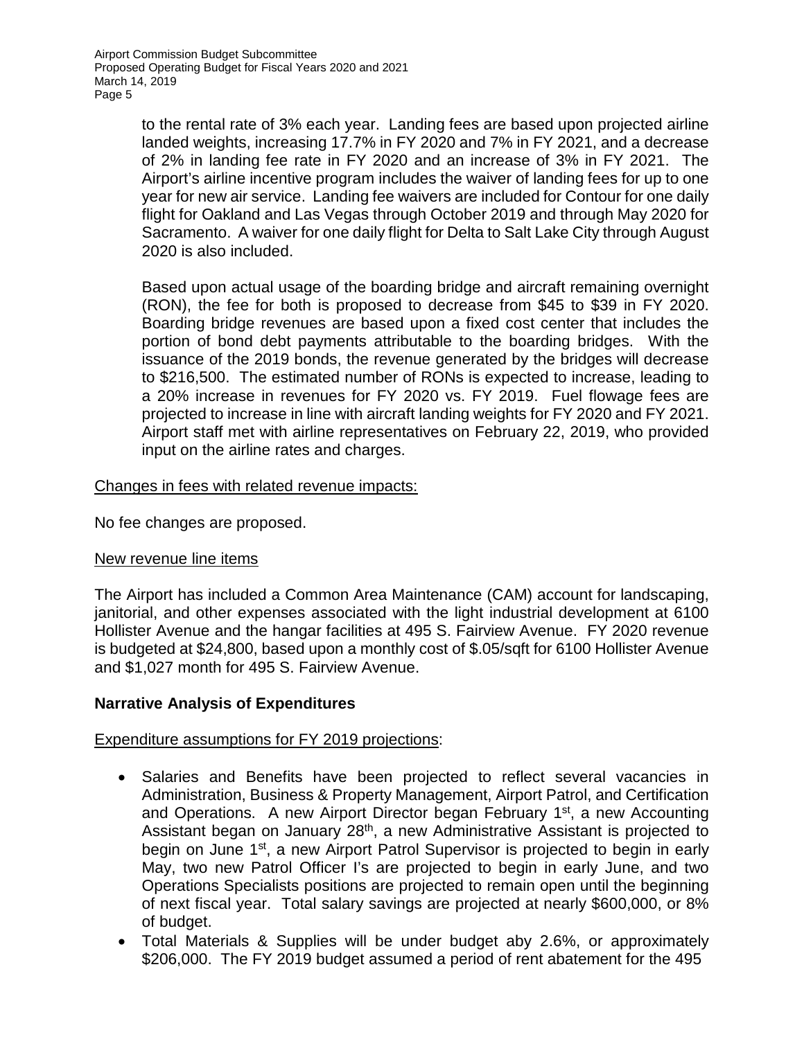to the rental rate of 3% each year. Landing fees are based upon projected airline landed weights, increasing 17.7% in FY 2020 and 7% in FY 2021, and a decrease of 2% in landing fee rate in FY 2020 and an increase of 3% in FY 2021. The Airport's airline incentive program includes the waiver of landing fees for up to one year for new air service. Landing fee waivers are included for Contour for one daily flight for Oakland and Las Vegas through October 2019 and through May 2020 for Sacramento. A waiver for one daily flight for Delta to Salt Lake City through August 2020 is also included.

Based upon actual usage of the boarding bridge and aircraft remaining overnight (RON), the fee for both is proposed to decrease from \$45 to \$39 in FY 2020. Boarding bridge revenues are based upon a fixed cost center that includes the portion of bond debt payments attributable to the boarding bridges. With the issuance of the 2019 bonds, the revenue generated by the bridges will decrease to \$216,500. The estimated number of RONs is expected to increase, leading to a 20% increase in revenues for FY 2020 vs. FY 2019. Fuel flowage fees are projected to increase in line with aircraft landing weights for FY 2020 and FY 2021. Airport staff met with airline representatives on February 22, 2019, who provided input on the airline rates and charges.

## Changes in fees with related revenue impacts:

No fee changes are proposed.

## New revenue line items

The Airport has included a Common Area Maintenance (CAM) account for landscaping, janitorial, and other expenses associated with the light industrial development at 6100 Hollister Avenue and the hangar facilities at 495 S. Fairview Avenue. FY 2020 revenue is budgeted at \$24,800, based upon a monthly cost of \$.05/sqft for 6100 Hollister Avenue and \$1,027 month for 495 S. Fairview Avenue.

## **Narrative Analysis of Expenditures**

## Expenditure assumptions for FY 2019 projections:

- Salaries and Benefits have been projected to reflect several vacancies in Administration, Business & Property Management, Airport Patrol, and Certification and Operations. A new Airport Director began February 1<sup>st</sup>, a new Accounting Assistant began on January 28<sup>th</sup>, a new Administrative Assistant is projected to begin on June 1<sup>st</sup>, a new Airport Patrol Supervisor is projected to begin in early May, two new Patrol Officer I's are projected to begin in early June, and two Operations Specialists positions are projected to remain open until the beginning of next fiscal year. Total salary savings are projected at nearly \$600,000, or 8% of budget.
- Total Materials & Supplies will be under budget aby 2.6%, or approximately \$206,000. The FY 2019 budget assumed a period of rent abatement for the 495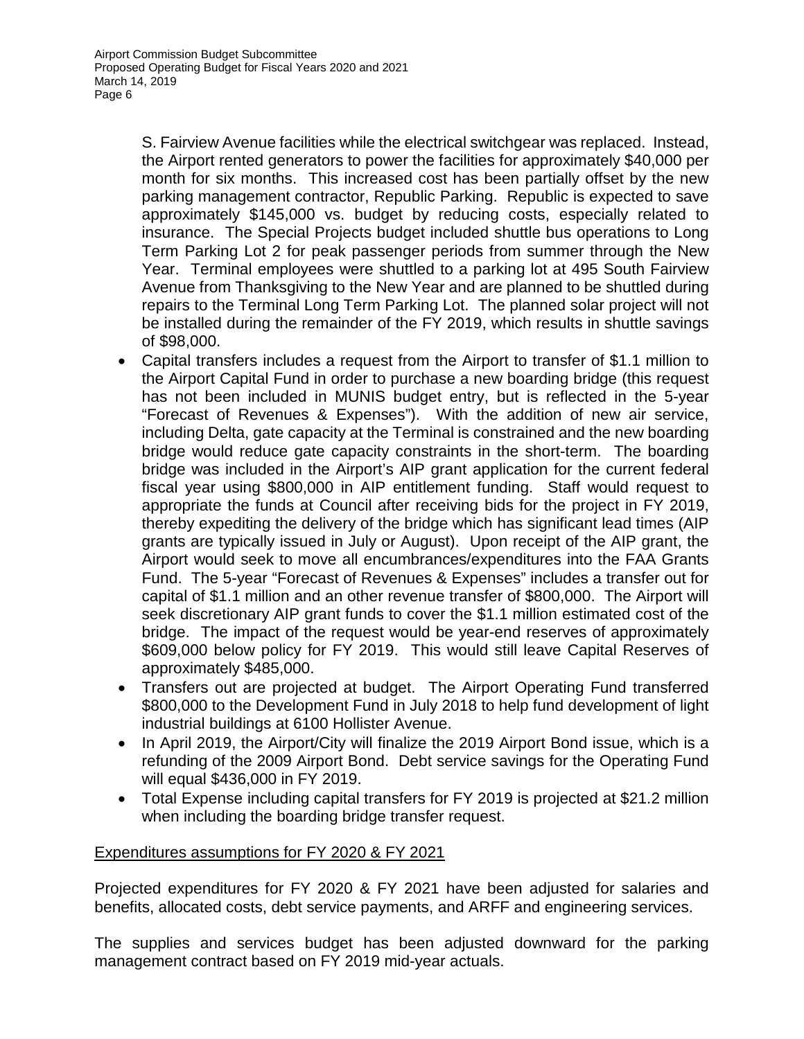S. Fairview Avenue facilities while the electrical switchgear was replaced. Instead, the Airport rented generators to power the facilities for approximately \$40,000 per month for six months. This increased cost has been partially offset by the new parking management contractor, Republic Parking. Republic is expected to save approximately \$145,000 vs. budget by reducing costs, especially related to insurance. The Special Projects budget included shuttle bus operations to Long Term Parking Lot 2 for peak passenger periods from summer through the New Year. Terminal employees were shuttled to a parking lot at 495 South Fairview Avenue from Thanksgiving to the New Year and are planned to be shuttled during repairs to the Terminal Long Term Parking Lot. The planned solar project will not be installed during the remainder of the FY 2019, which results in shuttle savings of \$98,000.

- Capital transfers includes a request from the Airport to transfer of \$1.1 million to the Airport Capital Fund in order to purchase a new boarding bridge (this request has not been included in MUNIS budget entry, but is reflected in the 5-year "Forecast of Revenues & Expenses"). With the addition of new air service, including Delta, gate capacity at the Terminal is constrained and the new boarding bridge would reduce gate capacity constraints in the short-term. The boarding bridge was included in the Airport's AIP grant application for the current federal fiscal year using \$800,000 in AIP entitlement funding. Staff would request to appropriate the funds at Council after receiving bids for the project in FY 2019, thereby expediting the delivery of the bridge which has significant lead times (AIP grants are typically issued in July or August). Upon receipt of the AIP grant, the Airport would seek to move all encumbrances/expenditures into the FAA Grants Fund. The 5-year "Forecast of Revenues & Expenses" includes a transfer out for capital of \$1.1 million and an other revenue transfer of \$800,000. The Airport will seek discretionary AIP grant funds to cover the \$1.1 million estimated cost of the bridge. The impact of the request would be year-end reserves of approximately \$609,000 below policy for FY 2019. This would still leave Capital Reserves of approximately \$485,000.
- Transfers out are projected at budget. The Airport Operating Fund transferred \$800,000 to the Development Fund in July 2018 to help fund development of light industrial buildings at 6100 Hollister Avenue.
- In April 2019, the Airport/City will finalize the 2019 Airport Bond issue, which is a refunding of the 2009 Airport Bond. Debt service savings for the Operating Fund will equal \$436,000 in FY 2019.
- Total Expense including capital transfers for FY 2019 is projected at \$21.2 million when including the boarding bridge transfer request.

## Expenditures assumptions for FY 2020 & FY 2021

Projected expenditures for FY 2020 & FY 2021 have been adjusted for salaries and benefits, allocated costs, debt service payments, and ARFF and engineering services.

The supplies and services budget has been adjusted downward for the parking management contract based on FY 2019 mid-year actuals.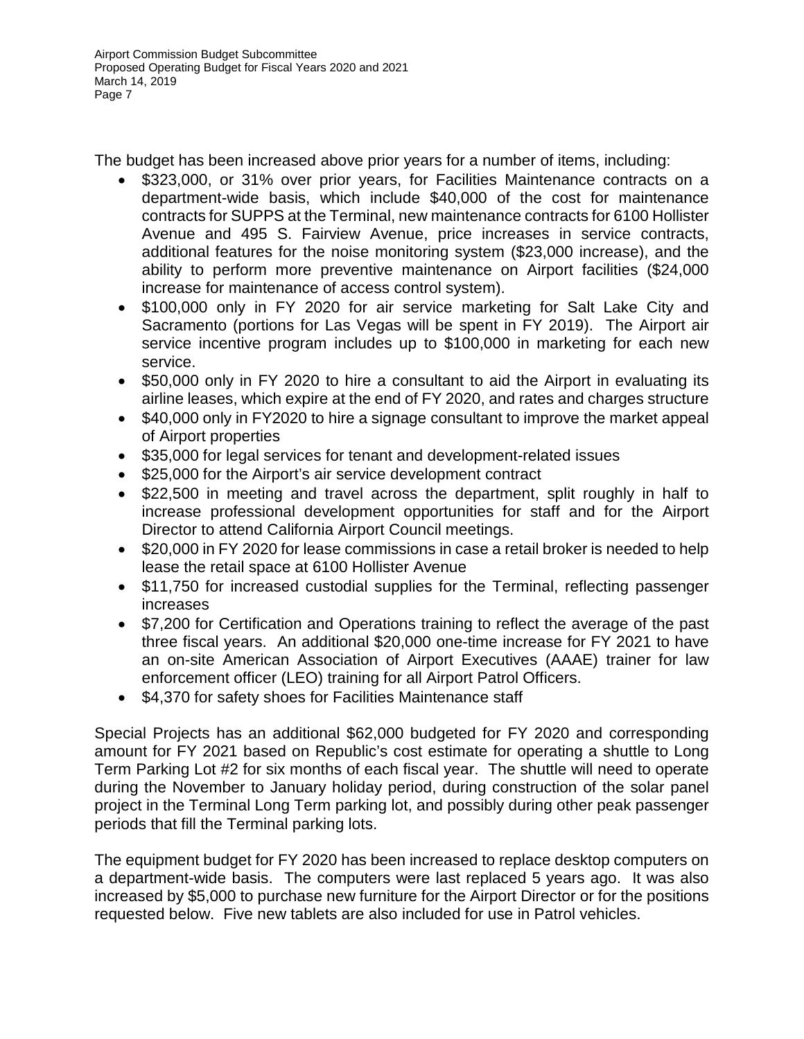The budget has been increased above prior years for a number of items, including:

- \$323,000, or 31% over prior years, for Facilities Maintenance contracts on a department-wide basis, which include \$40,000 of the cost for maintenance contracts for SUPPS at the Terminal, new maintenance contracts for 6100 Hollister Avenue and 495 S. Fairview Avenue, price increases in service contracts, additional features for the noise monitoring system (\$23,000 increase), and the ability to perform more preventive maintenance on Airport facilities (\$24,000 increase for maintenance of access control system).
- \$100,000 only in FY 2020 for air service marketing for Salt Lake City and Sacramento (portions for Las Vegas will be spent in FY 2019). The Airport air service incentive program includes up to \$100,000 in marketing for each new service.
- \$50,000 only in FY 2020 to hire a consultant to aid the Airport in evaluating its airline leases, which expire at the end of FY 2020, and rates and charges structure
- \$40,000 only in FY2020 to hire a signage consultant to improve the market appeal of Airport properties
- \$35,000 for legal services for tenant and development-related issues
- \$25,000 for the Airport's air service development contract
- \$22,500 in meeting and travel across the department, split roughly in half to increase professional development opportunities for staff and for the Airport Director to attend California Airport Council meetings.
- \$20,000 in FY 2020 for lease commissions in case a retail broker is needed to help lease the retail space at 6100 Hollister Avenue
- \$11,750 for increased custodial supplies for the Terminal, reflecting passenger increases
- \$7,200 for Certification and Operations training to reflect the average of the past three fiscal years. An additional \$20,000 one-time increase for FY 2021 to have an on-site American Association of Airport Executives (AAAE) trainer for law enforcement officer (LEO) training for all Airport Patrol Officers.
- \$4,370 for safety shoes for Facilities Maintenance staff

Special Projects has an additional \$62,000 budgeted for FY 2020 and corresponding amount for FY 2021 based on Republic's cost estimate for operating a shuttle to Long Term Parking Lot #2 for six months of each fiscal year. The shuttle will need to operate during the November to January holiday period, during construction of the solar panel project in the Terminal Long Term parking lot, and possibly during other peak passenger periods that fill the Terminal parking lots.

The equipment budget for FY 2020 has been increased to replace desktop computers on a department-wide basis. The computers were last replaced 5 years ago. It was also increased by \$5,000 to purchase new furniture for the Airport Director or for the positions requested below. Five new tablets are also included for use in Patrol vehicles.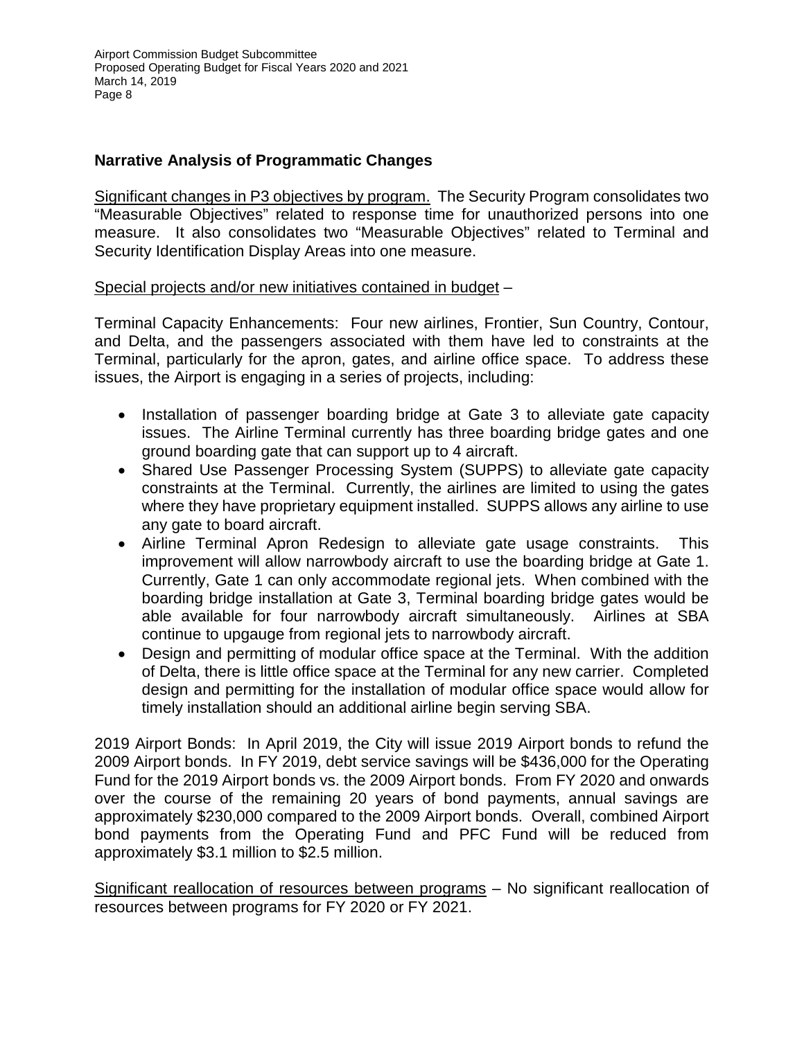## **Narrative Analysis of Programmatic Changes**

Significant changes in P3 objectives by program. The Security Program consolidates two "Measurable Objectives" related to response time for unauthorized persons into one measure. It also consolidates two "Measurable Objectives" related to Terminal and Security Identification Display Areas into one measure.

Special projects and/or new initiatives contained in budget –

Terminal Capacity Enhancements: Four new airlines, Frontier, Sun Country, Contour, and Delta, and the passengers associated with them have led to constraints at the Terminal, particularly for the apron, gates, and airline office space. To address these issues, the Airport is engaging in a series of projects, including:

- Installation of passenger boarding bridge at Gate 3 to alleviate gate capacity issues. The Airline Terminal currently has three boarding bridge gates and one ground boarding gate that can support up to 4 aircraft.
- Shared Use Passenger Processing System (SUPPS) to alleviate gate capacity constraints at the Terminal. Currently, the airlines are limited to using the gates where they have proprietary equipment installed. SUPPS allows any airline to use any gate to board aircraft.
- Airline Terminal Apron Redesign to alleviate gate usage constraints. This improvement will allow narrowbody aircraft to use the boarding bridge at Gate 1. Currently, Gate 1 can only accommodate regional jets. When combined with the boarding bridge installation at Gate 3, Terminal boarding bridge gates would be able available for four narrowbody aircraft simultaneously. Airlines at SBA continue to upgauge from regional jets to narrowbody aircraft.
- Design and permitting of modular office space at the Terminal. With the addition of Delta, there is little office space at the Terminal for any new carrier. Completed design and permitting for the installation of modular office space would allow for timely installation should an additional airline begin serving SBA.

2019 Airport Bonds: In April 2019, the City will issue 2019 Airport bonds to refund the 2009 Airport bonds. In FY 2019, debt service savings will be \$436,000 for the Operating Fund for the 2019 Airport bonds vs. the 2009 Airport bonds. From FY 2020 and onwards over the course of the remaining 20 years of bond payments, annual savings are approximately \$230,000 compared to the 2009 Airport bonds. Overall, combined Airport bond payments from the Operating Fund and PFC Fund will be reduced from approximately \$3.1 million to \$2.5 million.

Significant reallocation of resources between programs – No significant reallocation of resources between programs for FY 2020 or FY 2021.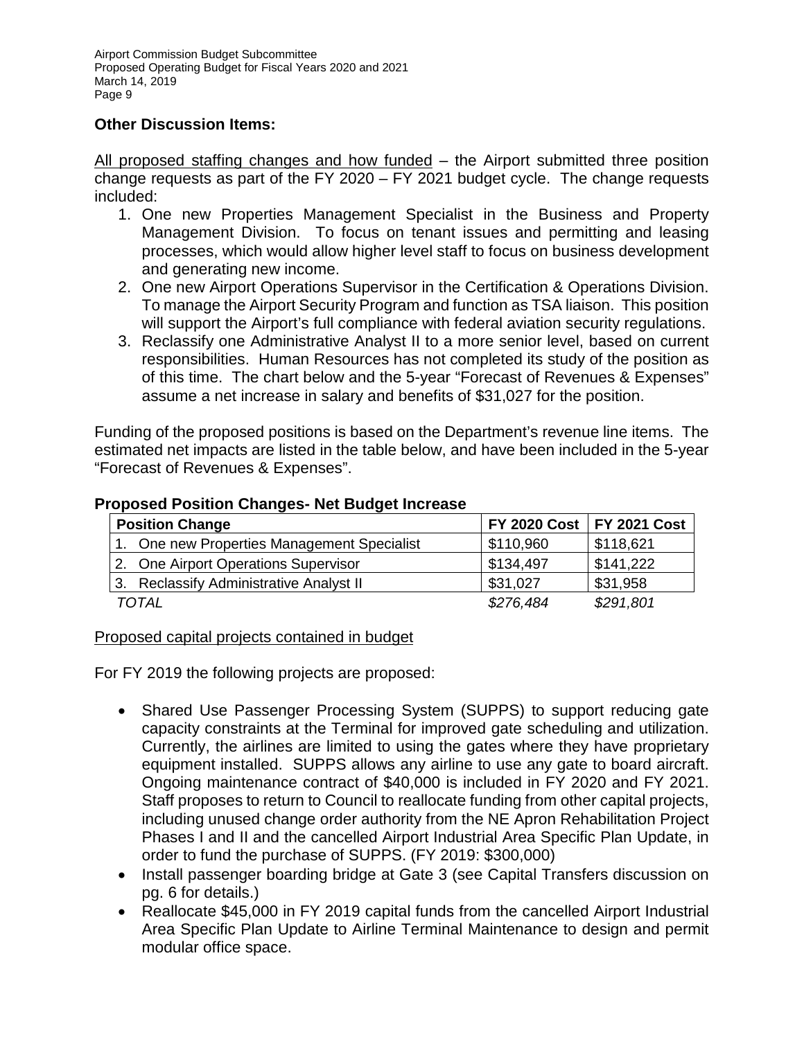## **Other Discussion Items:**

All proposed staffing changes and how funded – the Airport submitted three position change requests as part of the FY 2020 – FY 2021 budget cycle. The change requests included:

- 1. One new Properties Management Specialist in the Business and Property Management Division. To focus on tenant issues and permitting and leasing processes, which would allow higher level staff to focus on business development and generating new income.
- 2. One new Airport Operations Supervisor in the Certification & Operations Division. To manage the Airport Security Program and function as TSA liaison. This position will support the Airport's full compliance with federal aviation security regulations.
- 3. Reclassify one Administrative Analyst II to a more senior level, based on current responsibilities. Human Resources has not completed its study of the position as of this time. The chart below and the 5-year "Forecast of Revenues & Expenses" assume a net increase in salary and benefits of \$31,027 for the position.

Funding of the proposed positions is based on the Department's revenue line items. The estimated net impacts are listed in the table below, and have been included in the 5-year "Forecast of Revenues & Expenses".

|  | <b>Position Change</b>                      | FY 2020 Cost   FY 2021 Cost |           |  |  |
|--|---------------------------------------------|-----------------------------|-----------|--|--|
|  | 1. One new Properties Management Specialist | \$110,960                   | \$118,621 |  |  |
|  | 2. One Airport Operations Supervisor        | \$134,497                   | \$141,222 |  |  |
|  | 3. Reclassify Administrative Analyst II     | \$31,027                    | \$31,958  |  |  |
|  | TOTAL                                       | \$276,484                   | \$291,801 |  |  |

#### **Proposed Position Changes- Net Budget Increase**

## Proposed capital projects contained in budget

For FY 2019 the following projects are proposed:

- Shared Use Passenger Processing System (SUPPS) to support reducing gate capacity constraints at the Terminal for improved gate scheduling and utilization. Currently, the airlines are limited to using the gates where they have proprietary equipment installed. SUPPS allows any airline to use any gate to board aircraft. Ongoing maintenance contract of \$40,000 is included in FY 2020 and FY 2021. Staff proposes to return to Council to reallocate funding from other capital projects, including unused change order authority from the NE Apron Rehabilitation Project Phases I and II and the cancelled Airport Industrial Area Specific Plan Update, in order to fund the purchase of SUPPS. (FY 2019: \$300,000)
- Install passenger boarding bridge at Gate 3 (see Capital Transfers discussion on pg. 6 for details.)
- Reallocate \$45,000 in FY 2019 capital funds from the cancelled Airport Industrial Area Specific Plan Update to Airline Terminal Maintenance to design and permit modular office space.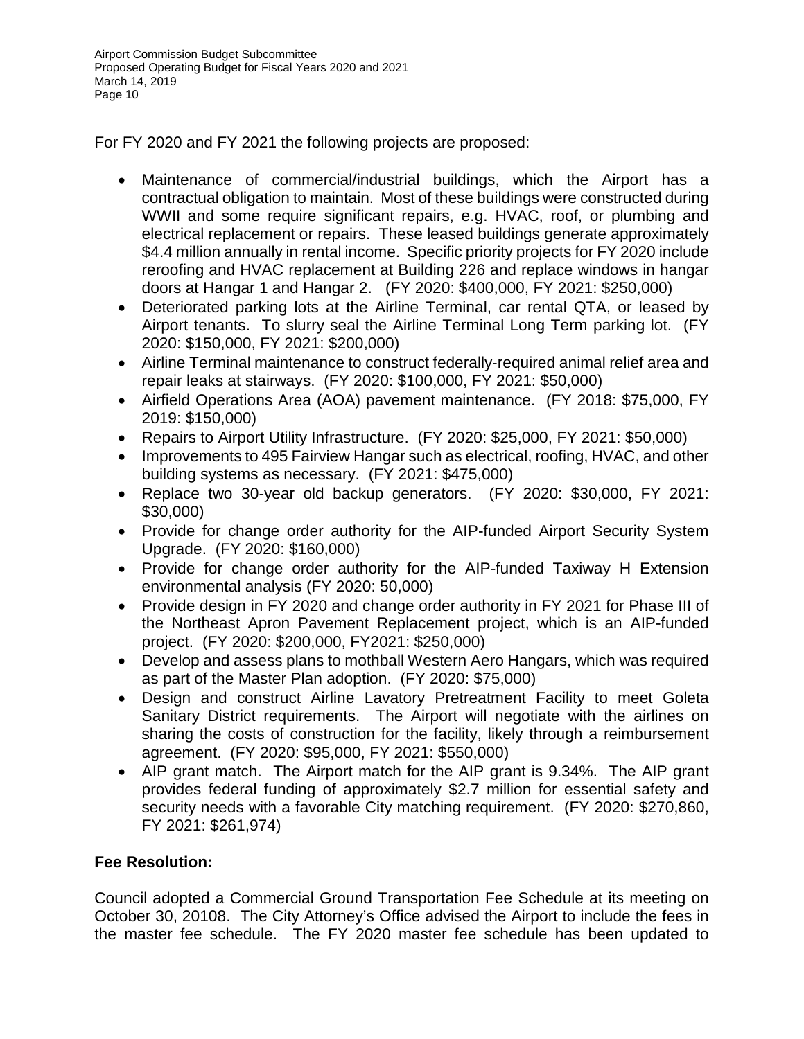For FY 2020 and FY 2021 the following projects are proposed:

- Maintenance of commercial/industrial buildings, which the Airport has a contractual obligation to maintain. Most of these buildings were constructed during WWII and some require significant repairs, e.g. HVAC, roof, or plumbing and electrical replacement or repairs. These leased buildings generate approximately \$4.4 million annually in rental income. Specific priority projects for FY 2020 include reroofing and HVAC replacement at Building 226 and replace windows in hangar doors at Hangar 1 and Hangar 2. (FY 2020: \$400,000, FY 2021: \$250,000)
- Deteriorated parking lots at the Airline Terminal, car rental QTA, or leased by Airport tenants. To slurry seal the Airline Terminal Long Term parking lot. (FY 2020: \$150,000, FY 2021: \$200,000)
- Airline Terminal maintenance to construct federally-required animal relief area and repair leaks at stairways. (FY 2020: \$100,000, FY 2021: \$50,000)
- Airfield Operations Area (AOA) pavement maintenance. (FY 2018: \$75,000, FY 2019: \$150,000)
- Repairs to Airport Utility Infrastructure. (FY 2020: \$25,000, FY 2021: \$50,000)
- Improvements to 495 Fairview Hangar such as electrical, roofing, HVAC, and other building systems as necessary. (FY 2021: \$475,000)
- Replace two 30-year old backup generators. (FY 2020: \$30,000, FY 2021: \$30,000)
- Provide for change order authority for the AIP-funded Airport Security System Upgrade. (FY 2020: \$160,000)
- Provide for change order authority for the AIP-funded Taxiway H Extension environmental analysis (FY 2020: 50,000)
- Provide design in FY 2020 and change order authority in FY 2021 for Phase III of the Northeast Apron Pavement Replacement project, which is an AIP-funded project. (FY 2020: \$200,000, FY2021: \$250,000)
- Develop and assess plans to mothball Western Aero Hangars, which was required as part of the Master Plan adoption. (FY 2020: \$75,000)
- Design and construct Airline Lavatory Pretreatment Facility to meet Goleta Sanitary District requirements. The Airport will negotiate with the airlines on sharing the costs of construction for the facility, likely through a reimbursement agreement. (FY 2020: \$95,000, FY 2021: \$550,000)
- AIP grant match. The Airport match for the AIP grant is 9.34%. The AIP grant provides federal funding of approximately \$2.7 million for essential safety and security needs with a favorable City matching requirement. (FY 2020: \$270,860, FY 2021: \$261,974)

## **Fee Resolution:**

Council adopted a Commercial Ground Transportation Fee Schedule at its meeting on October 30, 20108. The City Attorney's Office advised the Airport to include the fees in the master fee schedule. The FY 2020 master fee schedule has been updated to